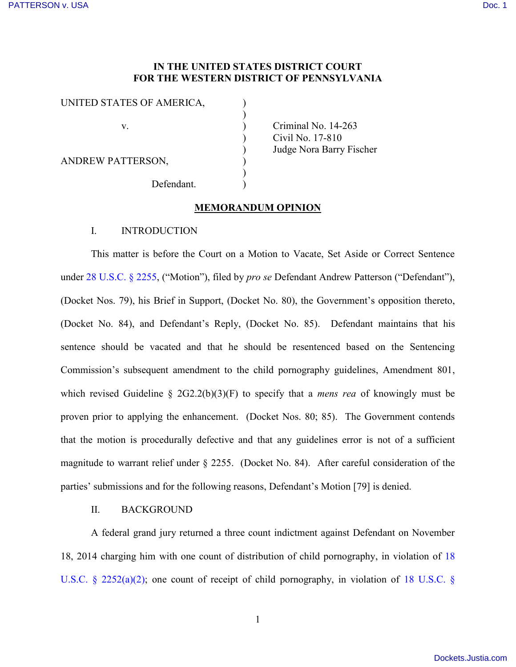# **IN THE UNITED STATES DISTRICT COURT FOR THE WESTERN DISTRICT OF PENNSYLVANIA**

| UNITED STATES OF AMERICA, |            |  |
|---------------------------|------------|--|
| V                         |            |  |
|                           |            |  |
| <b>ANDREW PATTERSON,</b>  |            |  |
|                           | Defendant. |  |

Criminal No.  $14-263$ ) Civil No. 17-810 ) Judge Nora Barry Fischer

## **MEMORANDUM OPINION**

#### I. INTRODUCTION

This matter is before the Court on a Motion to Vacate, Set Aside or Correct Sentence under [28 U.S.C. § 2255,](http://www.westlaw.com/Find/default.wl?rs=kmfn4.8&vr=2.0&kmvr=2.6&FindType=L&DB=1000546&DocName=28USCAS2255&kmsource=da3.0) ("Motion"), filed by *pro se* Defendant Andrew Patterson ("Defendant"), (Docket Nos. 79), his Brief in Support, (Docket No. 80), the Government's opposition thereto, (Docket No. 84), and Defendant's Reply, (Docket No. 85). Defendant maintains that his sentence should be vacated and that he should be resentenced based on the Sentencing Commission's subsequent amendment to the child pornography guidelines, Amendment 801, which revised Guideline § 2G2.2(b)(3)(F) to specify that a *mens rea* of knowingly must be proven prior to applying the enhancement. (Docket Nos. 80; 85). The Government contends that the motion is procedurally defective and that any guidelines error is not of a sufficient magnitude to warrant relief under § 2255. (Docket No. 84). After careful consideration of the parties' submissions and for the following reasons, Defendant's Motion [79] is denied.

## II. BACKGROUND

A federal grand jury returned a three count indictment against Defendant on November 18, 2014 charging him with one count of distribution of child pornography, in violation of [18](http://www.westlaw.com/Find/default.wl?rs=kmfn4.8&vr=2.0&kmvr=2.6&FindType=L&DB=1000546&DocName=18USCAS2252&kmsource=da3.0)  [U.S.C. § 2252\(a\)\(2\);](http://www.westlaw.com/Find/default.wl?rs=kmfn4.8&vr=2.0&kmvr=2.6&FindType=L&DB=1000546&DocName=18USCAS2252&kmsource=da3.0) one count of receipt of child pornography, in violation of [18 U.S.C. §](http://www.westlaw.com/Find/default.wl?rs=kmfn4.8&vr=2.0&kmvr=2.6&FindType=L&DB=1000546&DocName=18USCAS2252&kmsource=da3.0)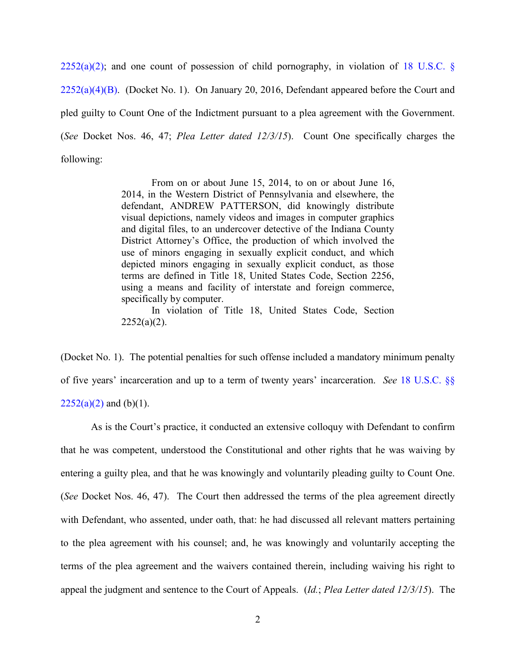$2252(a)(2)$ ; and one count of possession of child pornography, in violation of 18 U.S.C. §  $2252(a)(4)(B)$ . (Docket No. 1). On January 20, 2016, Defendant appeared before the Court and pled guilty to Count One of the Indictment pursuant to a plea agreement with the Government. (*See* Docket Nos. 46, 47; *Plea Letter dated 12/3/15*). Count One specifically charges the following:

> From on or about June 15, 2014, to on or about June 16, 2014, in the Western District of Pennsylvania and elsewhere, the defendant, ANDREW PATTERSON, did knowingly distribute visual depictions, namely videos and images in computer graphics and digital files, to an undercover detective of the Indiana County District Attorney's Office, the production of which involved the use of minors engaging in sexually explicit conduct, and which depicted minors engaging in sexually explicit conduct, as those terms are defined in Title 18, United States Code, Section 2256, using a means and facility of interstate and foreign commerce, specifically by computer.

> In violation of Title 18, United States Code, Section  $2252(a)(2)$ .

(Docket No. 1). The potential penalties for such offense included a mandatory minimum penalty of five years' incarceration and up to a term of twenty years' incarceration. *See* [18 U.S.C. §§](http://www.westlaw.com/Find/default.wl?rs=kmfn4.8&vr=2.0&kmvr=2.6&FindType=L&DB=1000546&DocName=18USCAS2252&kmsource=da3.0)   $2252(a)(2)$  and (b)(1).

As is the Court's practice, it conducted an extensive colloquy with Defendant to confirm that he was competent, understood the Constitutional and other rights that he was waiving by entering a guilty plea, and that he was knowingly and voluntarily pleading guilty to Count One. (*See* Docket Nos. 46, 47). The Court then addressed the terms of the plea agreement directly with Defendant, who assented, under oath, that: he had discussed all relevant matters pertaining to the plea agreement with his counsel; and, he was knowingly and voluntarily accepting the terms of the plea agreement and the waivers contained therein, including waiving his right to appeal the judgment and sentence to the Court of Appeals. (*Id.*; *Plea Letter dated 12/3/15*). The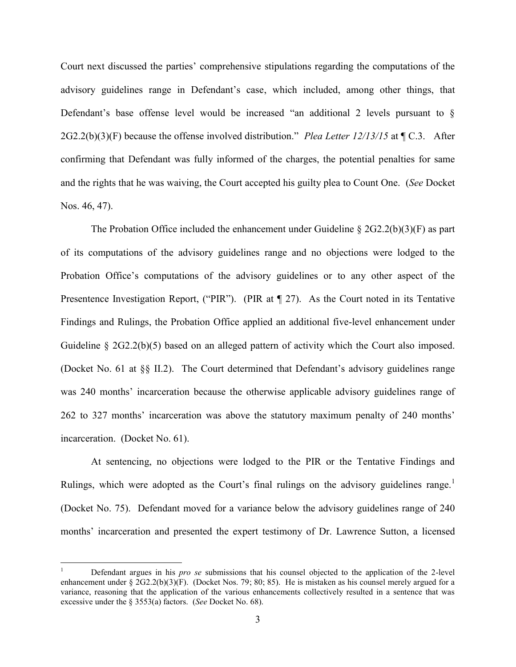Court next discussed the parties' comprehensive stipulations regarding the computations of the advisory guidelines range in Defendant's case, which included, among other things, that Defendant's base offense level would be increased "an additional 2 levels pursuant to  $\S$ 2G2.2(b)(3)(F) because the offense involved distribution." *Plea Letter 12/13/15* at ¶ C.3. After confirming that Defendant was fully informed of the charges, the potential penalties for same and the rights that he was waiving, the Court accepted his guilty plea to Count One. (*See* Docket Nos. 46, 47).

The Probation Office included the enhancement under Guideline  $\S 2G2.2(b)(3)(F)$  as part of its computations of the advisory guidelines range and no objections were lodged to the Probation Office's computations of the advisory guidelines or to any other aspect of the Presentence Investigation Report, ("PIR"). (PIR at  $\P$  27). As the Court noted in its Tentative Findings and Rulings, the Probation Office applied an additional five-level enhancement under Guideline § 2G2.2(b)(5) based on an alleged pattern of activity which the Court also imposed. (Docket No. 61 at §§ II.2). The Court determined that Defendant's advisory guidelines range was 240 months' incarceration because the otherwise applicable advisory guidelines range of 262 to 327 months' incarceration was above the statutory maximum penalty of 240 months' incarceration. (Docket No. 61).

At sentencing, no objections were lodged to the PIR or the Tentative Findings and Rulings, which were adopted as the Court's final rulings on the advisory guidelines range.<sup>1</sup> (Docket No. 75). Defendant moved for a variance below the advisory guidelines range of 240 months' incarceration and presented the expert testimony of Dr. Lawrence Sutton, a licensed

 $\overline{a}$ 

<sup>1</sup> Defendant argues in his *pro se* submissions that his counsel objected to the application of the 2-level enhancement under §  $2G2.2(b)(3)(F)$ . (Docket Nos. 79; 80; 85). He is mistaken as his counsel merely argued for a variance, reasoning that the application of the various enhancements collectively resulted in a sentence that was excessive under the § 3553(a) factors. (*See* Docket No. 68).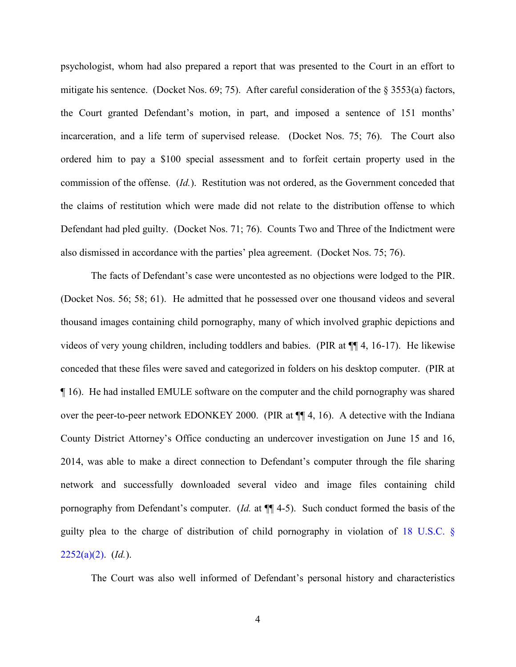psychologist, whom had also prepared a report that was presented to the Court in an effort to mitigate his sentence. (Docket Nos. 69; 75). After careful consideration of the § 3553(a) factors, the Court granted Defendant's motion, in part, and imposed a sentence of 151 months' incarceration, and a life term of supervised release. (Docket Nos. 75; 76). The Court also ordered him to pay a \$100 special assessment and to forfeit certain property used in the commission of the offense. (*Id.*). Restitution was not ordered, as the Government conceded that the claims of restitution which were made did not relate to the distribution offense to which Defendant had pled guilty. (Docket Nos. 71; 76). Counts Two and Three of the Indictment were also dismissed in accordance with the parties' plea agreement. (Docket Nos. 75; 76).

The facts of Defendant's case were uncontested as no objections were lodged to the PIR. (Docket Nos. 56; 58; 61). He admitted that he possessed over one thousand videos and several thousand images containing child pornography, many of which involved graphic depictions and videos of very young children, including toddlers and babies. (PIR at ¶¶ 4, 16-17). He likewise conceded that these files were saved and categorized in folders on his desktop computer. (PIR at ¶ 16). He had installed EMULE software on the computer and the child pornography was shared over the peer-to-peer network EDONKEY 2000. (PIR at ¶¶ 4, 16). A detective with the Indiana County District Attorney's Office conducting an undercover investigation on June 15 and 16, 2014, was able to make a direct connection to Defendant's computer through the file sharing network and successfully downloaded several video and image files containing child pornography from Defendant's computer. (*Id.* at ¶¶ 4-5). Such conduct formed the basis of the guilty plea to the charge of distribution of child pornography in violation of [18 U.S.C. §](http://www.westlaw.com/Find/default.wl?rs=kmfn4.8&vr=2.0&kmvr=2.6&FindType=L&DB=1000546&DocName=18USCAS2252&kmsource=da3.0)  [2252\(a\)\(2\).](http://www.westlaw.com/Find/default.wl?rs=kmfn4.8&vr=2.0&kmvr=2.6&FindType=L&DB=1000546&DocName=18USCAS2252&kmsource=da3.0) (*Id.*).

The Court was also well informed of Defendant's personal history and characteristics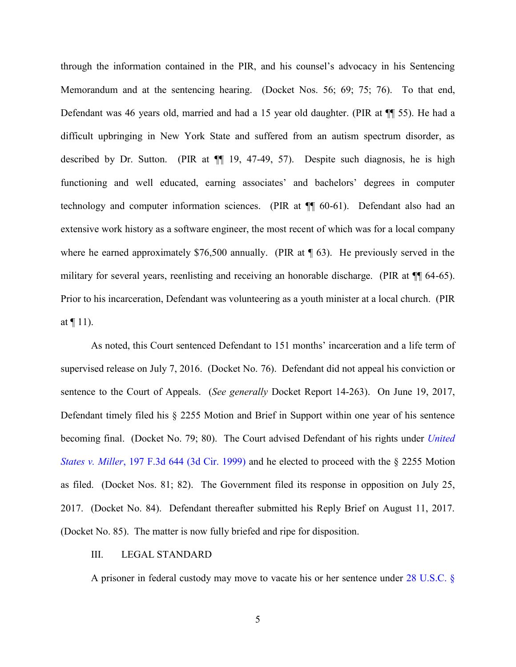through the information contained in the PIR, and his counsel's advocacy in his Sentencing Memorandum and at the sentencing hearing. (Docket Nos. 56; 69; 75; 76). To that end, Defendant was 46 years old, married and had a 15 year old daughter. (PIR at ¶¶ 55). He had a difficult upbringing in New York State and suffered from an autism spectrum disorder, as described by Dr. Sutton. (PIR at ¶¶ 19, 47-49, 57). Despite such diagnosis, he is high functioning and well educated, earning associates' and bachelors' degrees in computer technology and computer information sciences. (PIR at ¶¶ 60-61). Defendant also had an extensive work history as a software engineer, the most recent of which was for a local company where he earned approximately \$76,500 annually. (PIR at  $\P$  63). He previously served in the military for several years, reenlisting and receiving an honorable discharge. (PIR at  $\P$  64-65). Prior to his incarceration, Defendant was volunteering as a youth minister at a local church. (PIR at  $\P$  11).

As noted, this Court sentenced Defendant to 151 months' incarceration and a life term of supervised release on July 7, 2016. (Docket No. 76). Defendant did not appeal his conviction or sentence to the Court of Appeals. (*See generally* Docket Report 14-263). On June 19, 2017, Defendant timely filed his § 2255 Motion and Brief in Support within one year of his sentence becoming final. (Docket No. 79; 80). The Court advised Defendant of his rights under *[United](http://www.westlaw.com/Find/default.wl?rs=kmfn4.8&vr=2.0&kmvr=2.6&FindType=Y&DB=0000506&serialnum=1999263142&kmsource=da3.0)  States v. Miller*[, 197 F.3d 644 \(3d Cir. 1999\)](http://www.westlaw.com/Find/default.wl?rs=kmfn4.8&vr=2.0&kmvr=2.6&FindType=Y&DB=0000506&serialnum=1999263142&kmsource=da3.0) and he elected to proceed with the § 2255 Motion as filed. (Docket Nos. 81; 82). The Government filed its response in opposition on July 25, 2017. (Docket No. 84). Defendant thereafter submitted his Reply Brief on August 11, 2017. (Docket No. 85). The matter is now fully briefed and ripe for disposition.

#### III. LEGAL STANDARD

A prisoner in federal custody may move to vacate his or her sentence under [28 U.S.C. §](http://www.westlaw.com/Find/default.wl?rs=kmfn4.8&vr=2.0&kmvr=2.6&FindType=L&DB=1000546&DocName=28USCAS2255&kmsource=da3.0)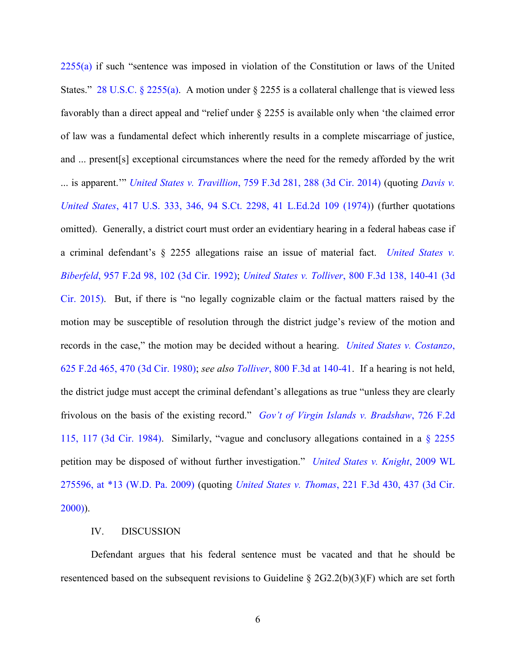[2255\(a\)](http://www.westlaw.com/Find/default.wl?rs=kmfn4.8&vr=2.0&kmvr=2.6&FindType=L&DB=1000546&DocName=28USCAS2255&kmsource=da3.0) if such "sentence was imposed in violation of the Constitution or laws of the United States." [28 U.S.C. § 2255\(a\).](http://www.westlaw.com/Find/default.wl?rs=kmfn4.8&vr=2.0&kmvr=2.6&FindType=L&DB=1000546&DocName=28USCAS2255&kmsource=da3.0) A motion under § 2255 is a collateral challenge that is viewed less favorably than a direct appeal and "relief under § 2255 is available only when 'the claimed error of law was a fundamental defect which inherently results in a complete miscarriage of justice, and ... present[s] exceptional circumstances where the need for the remedy afforded by the writ ... is apparent.'" *United States v. Travillion*[, 759 F.3d 281, 288 \(3d Cir. 2014\)](http://www.westlaw.com/Find/default.wl?rs=kmfn4.8&vr=2.0&kmvr=2.6&FindType=Y&DB=0000506&serialnum=2033783700&kmsource=da3.0) (quoting *[Davis v.](http://www.westlaw.com/Find/default.wl?rs=kmfn4.8&vr=2.0&kmvr=2.6&FindType=Y&DB=0000780&serialnum=1974127209&kmsource=da3.0)  United States*[, 417 U.S. 333, 346, 94 S.Ct. 2298, 41 L.Ed.2d 109 \(1974\)\)](http://www.westlaw.com/Find/default.wl?rs=kmfn4.8&vr=2.0&kmvr=2.6&FindType=Y&DB=0000780&serialnum=1974127209&kmsource=da3.0) (further quotations omitted). Generally, a district court must order an evidentiary hearing in a federal habeas case if a criminal defendant's § 2255 allegations raise an issue of material fact. *[United States v.](http://www.westlaw.com/Find/default.wl?rs=kmfn4.8&vr=2.0&kmvr=2.6&FindType=Y&DB=0000350&serialnum=1992047121&kmsource=da3.0)  Biberfeld*[, 957 F.2d 98, 102 \(3d Cir. 1992\);](http://www.westlaw.com/Find/default.wl?rs=kmfn4.8&vr=2.0&kmvr=2.6&FindType=Y&DB=0000350&serialnum=1992047121&kmsource=da3.0) *United States v. Tolliver*[, 800 F.3d 138, 140-41 \(3d](http://www.westlaw.com/Find/default.wl?rs=kmfn4.8&vr=2.0&kmvr=2.6&FindType=Y&DB=0000506&serialnum=2036994238&kmsource=da3.0)  [Cir. 2015\)](http://www.westlaw.com/Find/default.wl?rs=kmfn4.8&vr=2.0&kmvr=2.6&FindType=Y&DB=0000506&serialnum=2036994238&kmsource=da3.0). But, if there is "no legally cognizable claim or the factual matters raised by the motion may be susceptible of resolution through the district judge's review of the motion and records in the case," the motion may be decided without a hearing. *[United States v. Costanzo](http://www.westlaw.com/Find/default.wl?rs=kmfn4.8&vr=2.0&kmvr=2.6&FindType=Y&DB=0000350&serialnum=1980124289&kmsource=da3.0)*, [625 F.2d 465, 470 \(3d Cir. 1980\);](http://www.westlaw.com/Find/default.wl?rs=kmfn4.8&vr=2.0&kmvr=2.6&FindType=Y&DB=0000350&serialnum=1980124289&kmsource=da3.0) *see also Tolliver*[, 800 F.3d at 140-41.](http://www.westlaw.com/Find/default.wl?rs=kmfn4.8&vr=2.0&kmvr=2.6&FindType=Y&DB=0000506&serialnum=2036994238&kmsource=da3.0) If a hearing is not held, the district judge must accept the criminal defendant's allegations as true "unless they are clearly frivolous on the basis of the existing record." *[Gov't of Virgin Islands v. Bradshaw](http://www.westlaw.com/Find/default.wl?rs=kmfn4.8&vr=2.0&kmvr=2.6&FindType=Y&DB=0000350&serialnum=1984106578&kmsource=da3.0)*, 726 F.2d [115, 117 \(3d Cir. 1984\)](http://www.westlaw.com/Find/default.wl?rs=kmfn4.8&vr=2.0&kmvr=2.6&FindType=Y&DB=0000350&serialnum=1984106578&kmsource=da3.0). Similarly, "vague and conclusory allegations contained in a [§ 2255](http://www.westlaw.com/Find/default.wl?rs=kmfn4.8&vr=2.0&kmvr=2.6&FindType=L&DB=1000546&DocName=28USCAS2255&kmsource=da3.0) petition may be disposed of without further investigation." *[United States v. Knight](http://www.westlaw.com/Find/default.wl?rs=kmfn4.8&vr=2.0&kmvr=2.6&FindType=Y&DB=0000999&serialnum=2018087631&kmsource=da3.0)*, 2009 WL [275596, at \\*13 \(W.D. Pa. 2009\)](http://www.westlaw.com/Find/default.wl?rs=kmfn4.8&vr=2.0&kmvr=2.6&FindType=Y&DB=0000999&serialnum=2018087631&kmsource=da3.0) (quoting *United States v. Thomas*[, 221 F.3d 430, 437 \(3d Cir.](http://www.westlaw.com/Find/default.wl?rs=kmfn4.8&vr=2.0&kmvr=2.6&FindType=Y&DB=0000506&serialnum=2000457721&kmsource=da3.0)  [2000\)\)](http://www.westlaw.com/Find/default.wl?rs=kmfn4.8&vr=2.0&kmvr=2.6&FindType=Y&DB=0000506&serialnum=2000457721&kmsource=da3.0).

#### IV. DISCUSSION

Defendant argues that his federal sentence must be vacated and that he should be resentenced based on the subsequent revisions to Guideline § 2G2.2(b)(3)(F) which are set forth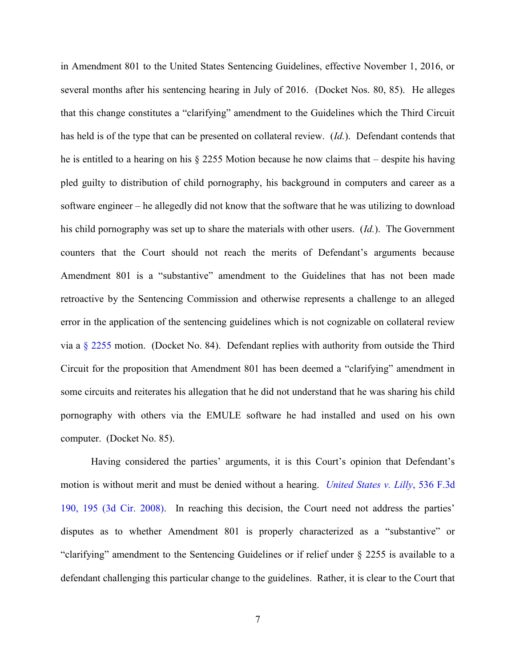in Amendment 801 to the United States Sentencing Guidelines, effective November 1, 2016, or several months after his sentencing hearing in July of 2016. (Docket Nos. 80, 85). He alleges that this change constitutes a "clarifying" amendment to the Guidelines which the Third Circuit has held is of the type that can be presented on collateral review. (*Id.*). Defendant contends that he is entitled to a hearing on his § 2255 Motion because he now claims that – despite his having pled guilty to distribution of child pornography, his background in computers and career as a software engineer – he allegedly did not know that the software that he was utilizing to download his child pornography was set up to share the materials with other users. (*Id.*). The Government counters that the Court should not reach the merits of Defendant's arguments because Amendment 801 is a "substantive" amendment to the Guidelines that has not been made retroactive by the Sentencing Commission and otherwise represents a challenge to an alleged error in the application of the sentencing guidelines which is not cognizable on collateral review via a [§ 2255](http://www.westlaw.com/Find/default.wl?rs=kmfn4.8&vr=2.0&kmvr=2.6&FindType=L&DB=1000546&DocName=28USCAS2255&kmsource=da3.0) motion. (Docket No. 84). Defendant replies with authority from outside the Third Circuit for the proposition that Amendment 801 has been deemed a "clarifying" amendment in some circuits and reiterates his allegation that he did not understand that he was sharing his child pornography with others via the EMULE software he had installed and used on his own computer. (Docket No. 85).

Having considered the parties' arguments, it is this Court's opinion that Defendant's motion is without merit and must be denied without a hearing. *[United States v. Lilly](http://www.westlaw.com/Find/default.wl?rs=kmfn4.8&vr=2.0&kmvr=2.6&FindType=Y&DB=0000506&serialnum=2016620775&kmsource=da3.0)*, 536 F.3d [190, 195 \(3d Cir. 2008\).](http://www.westlaw.com/Find/default.wl?rs=kmfn4.8&vr=2.0&kmvr=2.6&FindType=Y&DB=0000506&serialnum=2016620775&kmsource=da3.0) In reaching this decision, the Court need not address the parties' disputes as to whether Amendment 801 is properly characterized as a "substantive" or "clarifying" amendment to the Sentencing Guidelines or if relief under § 2255 is available to a defendant challenging this particular change to the guidelines. Rather, it is clear to the Court that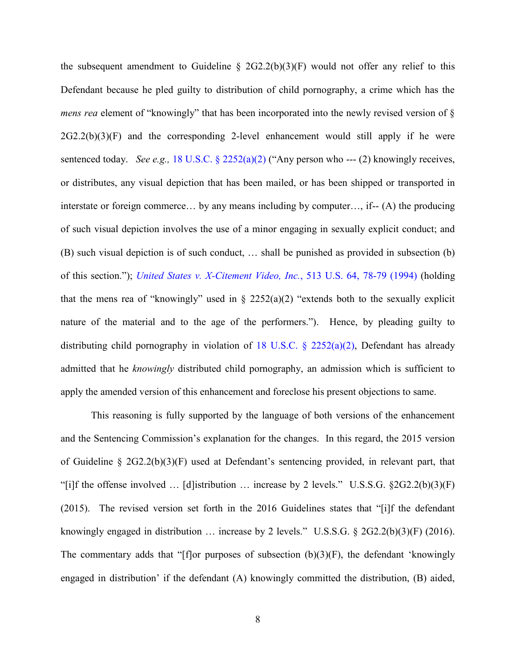the subsequent amendment to Guideline  $\S$  2G2.2(b)(3)(F) would not offer any relief to this Defendant because he pled guilty to distribution of child pornography, a crime which has the *mens rea* element of "knowingly" that has been incorporated into the newly revised version of  $\S$  $2G2.2(b)(3)(F)$  and the corresponding 2-level enhancement would still apply if he were sentenced today. *See e.g.,* [18 U.S.C. § 2252\(a\)\(2\)](http://www.westlaw.com/Find/default.wl?rs=kmfn4.8&vr=2.0&kmvr=2.6&FindType=L&DB=1000546&DocName=18USCAS2252&kmsource=da3.0) ("Any person who --- (2) knowingly receives, or distributes, any visual depiction that has been mailed, or has been shipped or transported in interstate or foreign commerce… by any means including by computer…, if-- (A) the producing of such visual depiction involves the use of a minor engaging in sexually explicit conduct; and (B) such visual depiction is of such conduct, … shall be punished as provided in subsection (b) of this section."); *[United States v. X-Citement Video, Inc.](http://www.westlaw.com/Find/default.wl?rs=kmfn4.8&vr=2.0&kmvr=2.6&FindType=Y&DB=0000780&serialnum=1994234931&kmsource=da3.0)*, 513 U.S. 64, 78-79 (1994) (holding that the mens rea of "knowingly" used in  $\S$  2252(a)(2) "extends both to the sexually explicit nature of the material and to the age of the performers."). Hence, by pleading guilty to distributing child pornography in violation of 18 U.S.C.  $\S$  2252(a)(2), Defendant has already admitted that he *knowingly* distributed child pornography, an admission which is sufficient to apply the amended version of this enhancement and foreclose his present objections to same.

This reasoning is fully supported by the language of both versions of the enhancement and the Sentencing Commission's explanation for the changes. In this regard, the 2015 version of Guideline § 2G2.2(b)(3)(F) used at Defendant's sentencing provided, in relevant part, that "[i]f the offense involved  $\ldots$  [d]istribution  $\ldots$  increase by 2 levels." U.S.S.G. §2G2.2(b)(3)(F) (2015). The revised version set forth in the 2016 Guidelines states that "[i]f the defendant knowingly engaged in distribution … increase by 2 levels." U.S.S.G. § 2G2.2(b)(3)(F) (2016). The commentary adds that "[f]or purposes of subsection  $(b)(3)(F)$ , the defendant 'knowingly engaged in distribution' if the defendant (A) knowingly committed the distribution, (B) aided,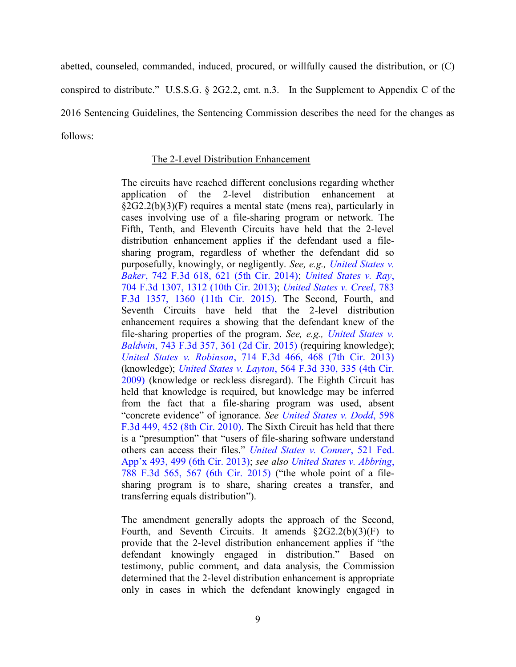abetted, counseled, commanded, induced, procured, or willfully caused the distribution, or (C) conspired to distribute." U.S.S.G. § 2G2.2, cmt. n.3. In the Supplement to Appendix C of the 2016 Sentencing Guidelines, the Sentencing Commission describes the need for the changes as follows:

# The 2-Level Distribution Enhancement

The circuits have reached different conclusions regarding whether application of the 2-level distribution enhancement at §2G2.2(b)(3)(F) requires a mental state (mens rea), particularly in cases involving use of a file-sharing program or network. The Fifth, Tenth, and Eleventh Circuits have held that the 2-level distribution enhancement applies if the defendant used a filesharing program, regardless of whether the defendant did so purposefully, knowingly, or negligently. *See, e.g., [United States v.](http://www.westlaw.com/Find/default.wl?rs=kmfn4.8&vr=2.0&kmvr=2.6&FindType=Y&DB=0000506&serialnum=2032714733&kmsource=da3.0)  Baker*[, 742 F.3d 618, 621 \(5th Cir. 2014\);](http://www.westlaw.com/Find/default.wl?rs=kmfn4.8&vr=2.0&kmvr=2.6&FindType=Y&DB=0000506&serialnum=2032714733&kmsource=da3.0) *[United States v. Ray](http://www.westlaw.com/Find/default.wl?rs=kmfn4.8&vr=2.0&kmvr=2.6&FindType=Y&DB=0000506&serialnum=2029777755&kmsource=da3.0)*, [704 F.3d 1307, 1312 \(10th Cir. 2013\);](http://www.westlaw.com/Find/default.wl?rs=kmfn4.8&vr=2.0&kmvr=2.6&FindType=Y&DB=0000506&serialnum=2029777755&kmsource=da3.0) *[United States v. Creel](http://www.westlaw.com/Find/default.wl?rs=kmfn4.8&vr=2.0&kmvr=2.6&FindType=Y&DB=0000506&serialnum=2036087629&kmsource=da3.0)*, 783 [F.3d 1357, 1360 \(11th Cir. 2015\).](http://www.westlaw.com/Find/default.wl?rs=kmfn4.8&vr=2.0&kmvr=2.6&FindType=Y&DB=0000506&serialnum=2036087629&kmsource=da3.0) The Second, Fourth, and Seventh Circuits have held that the 2-level distribution enhancement requires a showing that the defendant knew of the file-sharing properties of the program. *See, e.g., [United States v.](http://www.westlaw.com/Find/default.wl?rs=kmfn4.8&vr=2.0&kmvr=2.6&FindType=Y&DB=0000506&serialnum=2032763660&kmsource=da3.0)  Baldwin*[, 743 F.3d 357, 361 \(2d Cir. 2015\)](http://www.westlaw.com/Find/default.wl?rs=kmfn4.8&vr=2.0&kmvr=2.6&FindType=Y&DB=0000506&serialnum=2032763660&kmsource=da3.0) (requiring knowledge); *United States v. Robinson*[, 714 F.3d 466, 468 \(7th Cir. 2013\)](http://www.westlaw.com/Find/default.wl?rs=kmfn4.8&vr=2.0&kmvr=2.6&FindType=Y&DB=0000506&serialnum=2030319572&kmsource=da3.0) (knowledge); *United States v. Layton*[, 564 F.3d 330, 335 \(4th Cir.](http://www.westlaw.com/Find/default.wl?rs=kmfn4.8&vr=2.0&kmvr=2.6&FindType=Y&DB=0000506&serialnum=2018681279&kmsource=da3.0)  [2009\)](http://www.westlaw.com/Find/default.wl?rs=kmfn4.8&vr=2.0&kmvr=2.6&FindType=Y&DB=0000506&serialnum=2018681279&kmsource=da3.0) (knowledge or reckless disregard). The Eighth Circuit has held that knowledge is required, but knowledge may be inferred from the fact that a file-sharing program was used, absent "concrete evidence" of ignorance. *See [United States v. Dodd](http://www.westlaw.com/Find/default.wl?rs=kmfn4.8&vr=2.0&kmvr=2.6&FindType=Y&DB=0000506&serialnum=2021514696&kmsource=da3.0)*, 598 [F.3d 449, 452 \(8th Cir. 2010\).](http://www.westlaw.com/Find/default.wl?rs=kmfn4.8&vr=2.0&kmvr=2.6&FindType=Y&DB=0000506&serialnum=2021514696&kmsource=da3.0) The Sixth Circuit has held that there is a "presumption" that "users of file-sharing software understand others can access their files." *[United States v. Conner](http://www.westlaw.com/Find/default.wl?rs=kmfn4.8&vr=2.0&kmvr=2.6&FindType=Y&DB=0006538&serialnum=2030345127&kmsource=da3.0)*, 521 Fed. [App'x 493, 499 \(6th Cir. 2013\)](http://www.westlaw.com/Find/default.wl?rs=kmfn4.8&vr=2.0&kmvr=2.6&FindType=Y&DB=0006538&serialnum=2030345127&kmsource=da3.0); *see also [United States v. Abbring](http://www.westlaw.com/Find/default.wl?rs=kmfn4.8&vr=2.0&kmvr=2.6&FindType=Y&DB=0000506&serialnum=2036424290&kmsource=da3.0)*, [788 F.3d 565, 567 \(6th Cir. 2015\)](http://www.westlaw.com/Find/default.wl?rs=kmfn4.8&vr=2.0&kmvr=2.6&FindType=Y&DB=0000506&serialnum=2036424290&kmsource=da3.0) ("the whole point of a filesharing program is to share, sharing creates a transfer, and transferring equals distribution").

The amendment generally adopts the approach of the Second, Fourth, and Seventh Circuits. It amends §2G2.2(b)(3)(F) to provide that the 2-level distribution enhancement applies if "the defendant knowingly engaged in distribution." Based on testimony, public comment, and data analysis, the Commission determined that the 2-level distribution enhancement is appropriate only in cases in which the defendant knowingly engaged in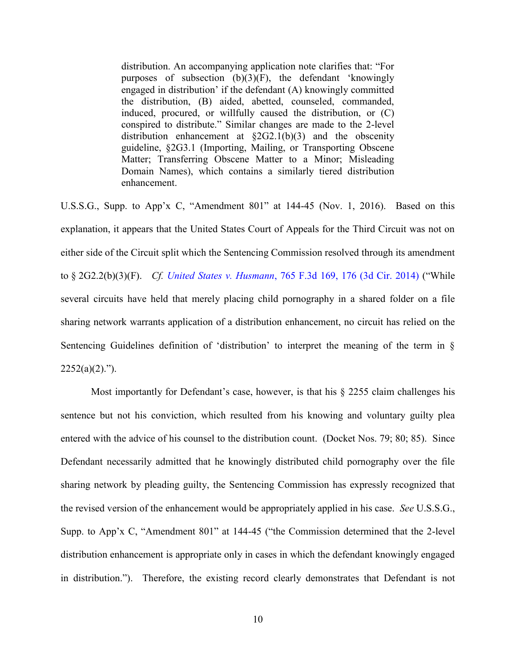distribution. An accompanying application note clarifies that: "For purposes of subsection (b)(3)(F), the defendant 'knowingly engaged in distribution' if the defendant (A) knowingly committed the distribution, (B) aided, abetted, counseled, commanded, induced, procured, or willfully caused the distribution, or (C) conspired to distribute." Similar changes are made to the 2-level distribution enhancement at  $\S 2G2.1(b)(3)$  and the obscenity guideline, §2G3.1 (Importing, Mailing, or Transporting Obscene Matter; Transferring Obscene Matter to a Minor; Misleading Domain Names), which contains a similarly tiered distribution enhancement.

U.S.S.G., Supp. to App'x C, "Amendment 801" at 144-45 (Nov. 1, 2016). Based on this explanation, it appears that the United States Court of Appeals for the Third Circuit was not on either side of the Circuit split which the Sentencing Commission resolved through its amendment to § 2G2.2(b)(3)(F). *Cf. United States v. Husmann*[, 765 F.3d 169, 176 \(3d Cir. 2014\)](http://www.westlaw.com/Find/default.wl?rs=kmfn4.8&vr=2.0&kmvr=2.6&FindType=Y&DB=0000506&serialnum=2034275046&kmsource=da3.0) ("While several circuits have held that merely placing child pornography in a shared folder on a file sharing network warrants application of a distribution enhancement, no circuit has relied on the Sentencing Guidelines definition of 'distribution' to interpret the meaning of the term in §  $2252(a)(2)$ .").

Most importantly for Defendant's case, however, is that his  $\S$  2255 claim challenges his sentence but not his conviction, which resulted from his knowing and voluntary guilty plea entered with the advice of his counsel to the distribution count. (Docket Nos. 79; 80; 85). Since Defendant necessarily admitted that he knowingly distributed child pornography over the file sharing network by pleading guilty, the Sentencing Commission has expressly recognized that the revised version of the enhancement would be appropriately applied in his case. *See* U.S.S.G., Supp. to App'x C, "Amendment 801" at 144-45 ("the Commission determined that the 2-level distribution enhancement is appropriate only in cases in which the defendant knowingly engaged in distribution."). Therefore, the existing record clearly demonstrates that Defendant is not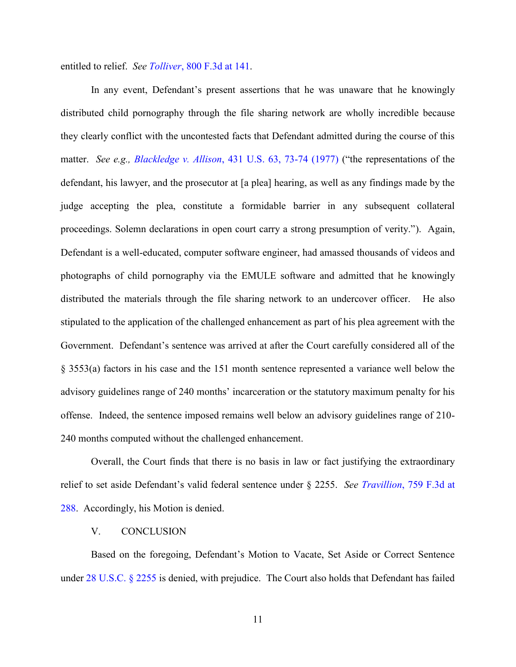entitled to relief. *See Tolliver*[, 800 F.3d at 141.](http://www.westlaw.com/Find/default.wl?rs=kmfn4.8&vr=2.0&kmvr=2.6&FindType=Y&DB=0000506&serialnum=2036994238&kmsource=da3.0)

In any event, Defendant's present assertions that he was unaware that he knowingly distributed child pornography through the file sharing network are wholly incredible because they clearly conflict with the uncontested facts that Defendant admitted during the course of this matter. *See e.g., Blackledge v. Allison*[, 431 U.S. 63, 73-74 \(1977\)](http://www.westlaw.com/Find/default.wl?rs=kmfn4.8&vr=2.0&kmvr=2.6&FindType=Y&DB=0000780&serialnum=1977118772&kmsource=da3.0) ("the representations of the defendant, his lawyer, and the prosecutor at [a plea] hearing, as well as any findings made by the judge accepting the plea, constitute a formidable barrier in any subsequent collateral proceedings. Solemn declarations in open court carry a strong presumption of verity."). Again, Defendant is a well-educated, computer software engineer, had amassed thousands of videos and photographs of child pornography via the EMULE software and admitted that he knowingly distributed the materials through the file sharing network to an undercover officer. He also stipulated to the application of the challenged enhancement as part of his plea agreement with the Government. Defendant's sentence was arrived at after the Court carefully considered all of the § 3553(a) factors in his case and the 151 month sentence represented a variance well below the advisory guidelines range of 240 months' incarceration or the statutory maximum penalty for his offense. Indeed, the sentence imposed remains well below an advisory guidelines range of 210- 240 months computed without the challenged enhancement.

Overall, the Court finds that there is no basis in law or fact justifying the extraordinary relief to set aside Defendant's valid federal sentence under § 2255. *See Travillion*[, 759 F.3d at](http://www.westlaw.com/Find/default.wl?rs=kmfn4.8&vr=2.0&kmvr=2.6&FindType=Y&DB=0000506&serialnum=2033783700&kmsource=da3.0)  [288.](http://www.westlaw.com/Find/default.wl?rs=kmfn4.8&vr=2.0&kmvr=2.6&FindType=Y&DB=0000506&serialnum=2033783700&kmsource=da3.0) Accordingly, his Motion is denied.

### V. CONCLUSION

Based on the foregoing, Defendant's Motion to Vacate, Set Aside or Correct Sentence under [28 U.S.C. § 2255](http://www.westlaw.com/Find/default.wl?rs=kmfn4.8&vr=2.0&kmvr=2.6&FindType=L&DB=1000546&DocName=28USCAS2255&kmsource=da3.0) is denied, with prejudice. The Court also holds that Defendant has failed

11